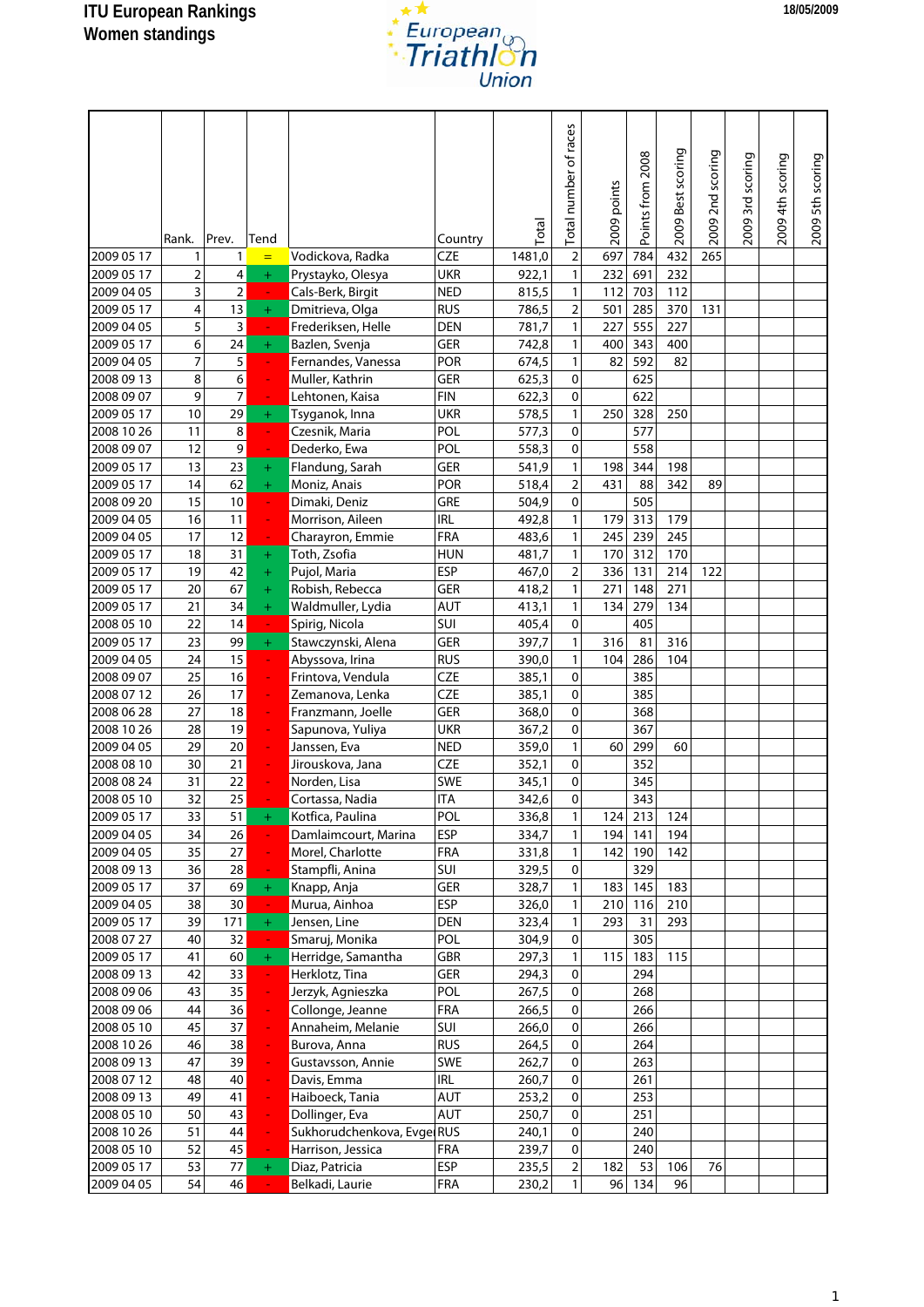

|            | Rank.          | Prev.          | Tend                          |                            | Country    | Total  | Total number of races | 2009 points | Points from 2008 | 2009 Best scoring | 2009 2nd scoring | 2009 3rd scoring | 2009 4th scoring | 2009 5th scoring |
|------------|----------------|----------------|-------------------------------|----------------------------|------------|--------|-----------------------|-------------|------------------|-------------------|------------------|------------------|------------------|------------------|
| 2009 05 17 | 1              | 1              | $=$                           | Vodickova, Radka           | <b>CZE</b> | 1481,0 | $\overline{2}$        | 697         | 784              | 432               | 265              |                  |                  |                  |
| 2009 05 17 | $\overline{2}$ | 4              | $\pm$                         | Prystayko, Olesya          | <b>UKR</b> | 922,1  | $\mathbf{1}$          | 232         | 691              | 232               |                  |                  |                  |                  |
| 2009 04 05 | 3              | $\overline{2}$ | $\omega$                      | Cals-Berk, Birgit          | <b>NED</b> | 815,5  | $\mathbf{1}$          | 112         | 703              | 112               |                  |                  |                  |                  |
| 2009 05 17 | 4              | 13             | $\pm$                         | Dmitrieva, Olga            | <b>RUS</b> | 786,5  | $\overline{2}$        | 501         | 285              | 370               | 131              |                  |                  |                  |
| 2009 04 05 | 5              | 3              | $\frac{1}{\sqrt{2}}$          | Frederiksen, Helle         | <b>DEN</b> | 781,7  | $\mathbf{1}$          | 227         | 555              | 227               |                  |                  |                  |                  |
| 2009 05 17 | 6              | 24             | $\pm$                         | Bazlen, Svenja             | GER        | 742,8  | $\mathbf{1}$          | 400         | 343              | 400               |                  |                  |                  |                  |
| 2009 04 05 | $\overline{7}$ | 5              | $\mathcal{L}_{\mathcal{C}}$   | Fernandes, Vanessa         | POR        | 674,5  | $\mathbf{1}$          | 82          | 592              | 82                |                  |                  |                  |                  |
| 2008 09 13 | 8              | 6              | ÷                             | Muller, Kathrin            | GER        | 625,3  | 0                     |             | 625              |                   |                  |                  |                  |                  |
| 2008 09 07 | 9              | $\overline{7}$ | $\omega_{\rm c}$              | Lehtonen, Kaisa            | <b>FIN</b> | 622,3  | 0                     |             | 622              |                   |                  |                  |                  |                  |
| 2009 05 17 | 10             | 29             | $\pm$                         | Tsyganok, Inna             | <b>UKR</b> | 578,5  | $\mathbf{1}$          | 250         | 328              | 250               |                  |                  |                  |                  |
| 2008 10 26 | 11             | $\,8\,$        | $\omega$                      | Czesnik, Maria             | POL        | 577,3  | 0                     |             | 577              |                   |                  |                  |                  |                  |
| 2008 09 07 | 12             | 9              | ÷.                            | Dederko, Ewa               | POL        | 558,3  | 0                     |             | 558              |                   |                  |                  |                  |                  |
| 2009 05 17 | 13             | 23             | $+$                           | Flandung, Sarah            | GER        | 541,9  | $\mathbf{1}$          | 198         | 344              | 198               |                  |                  |                  |                  |
| 2009 05 17 | 14             | 62             | $\pm$                         | Moniz, Anais               | POR        | 518,4  | $\overline{2}$        | 431         | 88               | 342               | 89               |                  |                  |                  |
| 2008 09 20 | 15             | 10             | $\mathcal{L}_{\mathcal{C}}$   | Dimaki, Deniz              | GRE        | 504,9  | 0                     |             | 505              |                   |                  |                  |                  |                  |
| 2009 04 05 | 16             | 11             | ÷,                            | Morrison, Aileen           | <b>IRL</b> | 492,8  | $\mathbf{1}$          | 179         | 313              | 179               |                  |                  |                  |                  |
| 2009 04 05 | 17             | 12             | $\omega$                      | Charayron, Emmie           | <b>FRA</b> | 483,6  | $\mathbf{1}$          | 245         | 239              | 245               |                  |                  |                  |                  |
| 2009 05 17 | 18             | 31             | $\pm$                         | Toth, Zsofia               | <b>HUN</b> | 481,7  | $\mathbf{1}$          | 170         | 312              | 170               |                  |                  |                  |                  |
| 2009 05 17 | 19             | 42             | $\pm$                         | Pujol, Maria               | <b>ESP</b> | 467,0  | $\overline{2}$        | 336         | 131              | 214               | 122              |                  |                  |                  |
| 2009 05 17 | 20             | 67             | $\pm$                         | Robish, Rebecca            | GER        | 418,2  | $\mathbf{1}$          | 271         | 148              | 271               |                  |                  |                  |                  |
| 2009 05 17 | 21             | 34             | $\pm$                         | Waldmuller, Lydia          | AUT        | 413,1  | 1                     | 134         | 279              | 134               |                  |                  |                  |                  |
| 2008 05 10 | 22             | 14             | ÷,                            | Spirig, Nicola             | SUI        | 405,4  | 0                     |             | 405              |                   |                  |                  |                  |                  |
| 2009 05 17 | 23             | 99             | $\pm$                         | Stawczynski, Alena         | GER        | 397,7  | $\mathbf{1}$          | 316         | 81               | 316               |                  |                  |                  |                  |
| 2009 04 05 | 24             | 15             | $\omega$                      | Abyssova, Irina            | <b>RUS</b> | 390,0  | $\mathbf{1}$          | 104         | 286              | 104               |                  |                  |                  |                  |
| 2008 09 07 | 25             | 16             | $\omega$                      | Frintova, Vendula          | <b>CZE</b> | 385,1  | 0                     |             | 385              |                   |                  |                  |                  |                  |
| 2008 07 12 | 26             | 17             | $\omega$                      | Zemanova, Lenka            | <b>CZE</b> | 385,1  | 0                     |             | 385              |                   |                  |                  |                  |                  |
| 2008 06 28 | 27             | 18             | ÷,                            | Franzmann, Joelle          | GER        | 368,0  | 0                     |             | 368              |                   |                  |                  |                  |                  |
| 2008 10 26 | 28             | 19             | ÷,                            | Sapunova, Yuliya           | <b>UKR</b> | 367,2  | 0                     |             | 367              |                   |                  |                  |                  |                  |
| 2009 04 05 | 29             | 20             | $\omega$                      | Janssen, Eva               | <b>NED</b> | 359,0  | $\mathbf{1}$          | 60          | 299              | 60                |                  |                  |                  |                  |
| 2008 08 10 | 30             | 21             | ÷,                            | Jirouskova, Jana           | <b>CZE</b> | 352,1  | 0                     |             | 352              |                   |                  |                  |                  |                  |
| 2008 08 24 | 31             | 22             |                               | Norden, Lisa               | SWE        | 345,1  | 0                     |             | 345              |                   |                  |                  |                  |                  |
| 2008 05 10 | 32             | 25             |                               | Cortassa, Nadia            | <b>ITA</b> | 342,6  | $\pmb{0}$             |             | 343              |                   |                  |                  |                  |                  |
| 2009 05 17 | 33             | 51             | $+$                           | Kotfica, Paulina           | POL        | 336,8  | $\mathbf{1}$          |             | 124 213          | 124               |                  |                  |                  |                  |
| 2009 04 05 | 34             | 26             | $\Box$                        | Damlaimcourt, Marina       | ESP        | 334,7  | $\mathbf{1}$          | 194         | 141              | 194               |                  |                  |                  |                  |
| 2009 04 05 | 35             | 27             | ÷                             | Morel, Charlotte           | <b>FRA</b> | 331,8  | $\mathbf{1}$          | 142         | 190              | 142               |                  |                  |                  |                  |
| 2008 09 13 | 36             | 28             | ÷.                            | Stampfli, Anina            | SUI        | 329,5  | $\mathbf 0$           |             | 329              |                   |                  |                  |                  |                  |
| 2009 05 17 | 37             | 69             | $\pm$                         | Knapp, Anja                | GER        | 328,7  | $\mathbf{1}$          | 183         | 145              | 183               |                  |                  |                  |                  |
| 2009 04 05 | 38             | 30             | $\left\langle -\right\rangle$ | Murua, Ainhoa              | <b>ESP</b> | 326,0  | $\mathbf{1}$          | 210         | 116              | 210               |                  |                  |                  |                  |
| 2009 05 17 | 39             | 171            | $\pm$                         | Jensen, Line               | <b>DEN</b> | 323,4  | $\mathbf{1}$          | 293         | 31               | 293               |                  |                  |                  |                  |
| 2008 07 27 | 40             | 32             |                               | Smaruj, Monika             | POL        | 304,9  | $\mathbf 0$           |             | 305              |                   |                  |                  |                  |                  |
| 2009 05 17 | 41             | 60             | $\pm$                         | Herridge, Samantha         | GBR        | 297,3  | $\mathbf{1}$          | 115         | 183              | 115               |                  |                  |                  |                  |
| 2008 09 13 | 42             | 33             | $\sim$                        | Herklotz, Tina             | GER        | 294,3  | 0                     |             | 294              |                   |                  |                  |                  |                  |
| 2008 09 06 | 43             | 35             | ÷,                            | Jerzyk, Agnieszka          | POL        | 267,5  | 0                     |             | 268              |                   |                  |                  |                  |                  |
| 2008 09 06 | 44             | 36             | ÷,                            | Collonge, Jeanne           | <b>FRA</b> | 266,5  | $\overline{0}$        |             | 266              |                   |                  |                  |                  |                  |
| 2008 05 10 | 45             | 37             | ÷,                            | Annaheim, Melanie          | SUI        | 266,0  | $\mathbf 0$           |             | 266              |                   |                  |                  |                  |                  |
| 2008 10 26 | 46             | 38             | ÷,                            | Burova, Anna               | <b>RUS</b> | 264,5  | 0                     |             | 264              |                   |                  |                  |                  |                  |
| 2008 09 13 | 47             | 39             | ÷                             | Gustavsson, Annie          | SWE        | 262,7  | 0                     |             | 263              |                   |                  |                  |                  |                  |
| 2008 07 12 | 48             | 40             | ÷,                            | Davis, Emma                | <b>IRL</b> | 260,7  | $\mathbf{0}$          |             | 261              |                   |                  |                  |                  |                  |
| 2008 09 13 | 49             | 41             | ÷,                            | Haiboeck, Tania            | <b>AUT</b> | 253,2  | 0                     |             | 253              |                   |                  |                  |                  |                  |
| 2008 05 10 | 50             | 43             | $\omega$                      | Dollinger, Eva             | <b>AUT</b> | 250,7  | 0                     |             | 251              |                   |                  |                  |                  |                  |
| 2008 10 26 | 51             | 44             | ÷,                            | Sukhorudchenkova, Evge RUS |            | 240,1  | 0                     |             | 240              |                   |                  |                  |                  |                  |
| 2008 05 10 | 52             | 45             | ÷                             | Harrison, Jessica          | <b>FRA</b> | 239,7  | 0                     |             | 240              |                   |                  |                  |                  |                  |
| 2009 05 17 | 53             | 77             | $\pm$                         | Diaz, Patricia             | ESP        | 235,5  | $\overline{2}$        | 182         | 53               | 106               | 76               |                  |                  |                  |
| 2009 04 05 | 54             | 46             | $\omega$                      | Belkadi, Laurie            | <b>FRA</b> | 230,2  | $\mathbf{1}$          | 96          | 134              | 96                |                  |                  |                  |                  |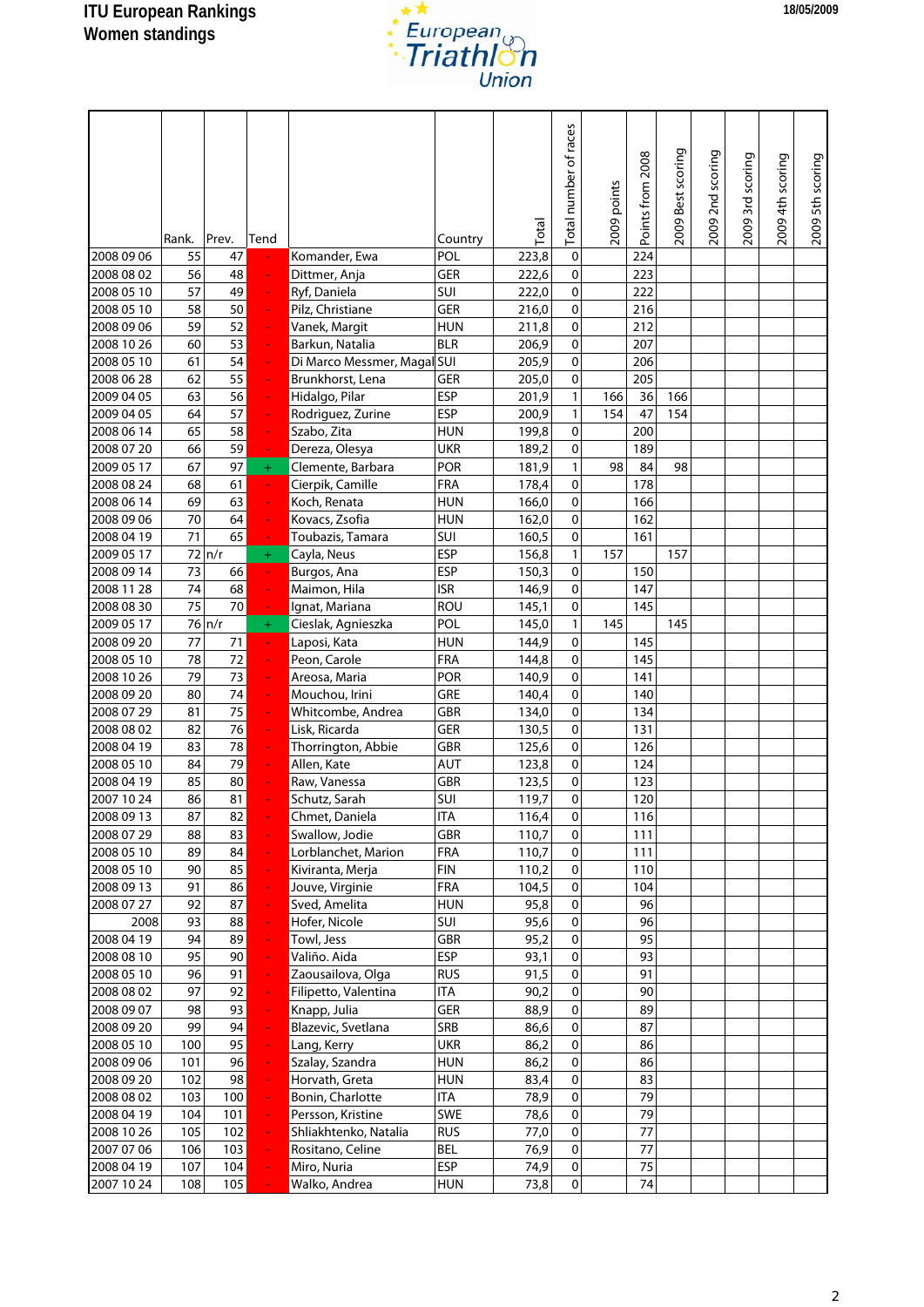

|                          | Rank.      | Prev.      | Tend                       |                                   | Country           | Total        | Total number of races | 2009 points | Points from 2008 | 2009 Best scoring | 2009 2nd scoring | 2009 3rd scoring | 2009 4th scoring | 2009 5th scoring |
|--------------------------|------------|------------|----------------------------|-----------------------------------|-------------------|--------------|-----------------------|-------------|------------------|-------------------|------------------|------------------|------------------|------------------|
| 2008 09 06               | 55         | 47         |                            | Komander, Ewa                     | POL               | 223,8        | 0                     |             | 224              |                   |                  |                  |                  |                  |
| 2008 08 02               | 56         | 48         | ÷                          | Dittmer, Anja                     | <b>GER</b>        | 222,6        | $\mathbf 0$           |             | 223              |                   |                  |                  |                  |                  |
| 2008 05 10               | 57         | 49         | $\omega$                   | Ryf, Daniela                      | SUI               | 222,0        | 0                     |             | 222              |                   |                  |                  |                  |                  |
| 2008 05 10               | 58         | 50         | $\omega$                   | Pilz, Christiane                  | GER               | 216,0        | 0                     |             | 216              |                   |                  |                  |                  |                  |
| 2008 09 06               | 59         | 52         | ÷,                         | Vanek, Margit                     | <b>HUN</b>        | 211,8        | 0                     |             | 212              |                   |                  |                  |                  |                  |
| 2008 10 26               | 60         | 53         | ÷,                         | Barkun, Natalia                   | <b>BLR</b>        | 206,9        | 0                     |             | 207              |                   |                  |                  |                  |                  |
| 2008 05 10               | 61         | 54         | ÷,                         | Di Marco Messmer, Magal SUI       |                   | 205,9        | 0                     |             | 206              |                   |                  |                  |                  |                  |
| 2008 06 28               | 62         | 55         | ÷,                         | Brunkhorst, Lena                  | GER               | 205,0        | 0                     |             | 205              |                   |                  |                  |                  |                  |
| 2009 04 05               | 63         | 56         | $\omega$                   | Hidalgo, Pilar                    | <b>ESP</b>        | 201,9        | $\mathbf{1}$          | 166         | 36               | 166               |                  |                  |                  |                  |
| 2009 04 05               | 64         | 57         | ÷,                         | Rodriguez, Zurine                 | <b>ESP</b>        | 200,9        | $\mathbf{1}$          | 154         | 47               | 154               |                  |                  |                  |                  |
| 2008 06 14               | 65         | 58         | ÷,                         | Szabo, Zita                       | <b>HUN</b>        | 199,8        | 0                     |             | 200              |                   |                  |                  |                  |                  |
| 2008 07 20               | 66         | 59         | $\sim$                     | Dereza, Olesya                    | UKR               | 189,2        | 0                     |             | 189              |                   |                  |                  |                  |                  |
| 2009 05 17               | 67         | 97         | $\pm$                      | Clemente, Barbara                 | <b>POR</b>        | 181,9        | $\mathbf{1}$          | 98          | 84               | 98                |                  |                  |                  |                  |
| 2008 08 24               | 68         | 61         | $\omega$                   | Cierpik, Camille                  | <b>FRA</b>        | 178,4        | 0                     |             | 178              |                   |                  |                  |                  |                  |
| 2008 06 14               | 69         | 63         | ÷,                         | Koch, Renata                      | <b>HUN</b>        | 166,0        | 0                     |             | 166              |                   |                  |                  |                  |                  |
| 2008 09 06               | 70         | 64         | ÷,                         | Kovacs, Zsofia                    | <b>HUN</b>        | 162,0        | 0                     |             | 162              |                   |                  |                  |                  |                  |
| 2008 04 19               | 71         | 65         | $\omega$                   | Toubazis, Tamara                  | SUI               | 160,5        | 0                     |             | 161              |                   |                  |                  |                  |                  |
| 2009 05 17               |            | $72 \ln/r$ | $\pm$                      | Cayla, Neus                       | <b>ESP</b>        | 156,8        | $\mathbf{1}$          | 157         |                  | 157               |                  |                  |                  |                  |
| 2008 09 14               | 73         | 66         | $\omega$                   | Burgos, Ana                       | <b>ESP</b>        | 150,3        | 0                     |             | 150              |                   |                  |                  |                  |                  |
| 2008 11 28               | 74         | 68         | ÷,                         | Maimon, Hila                      | <b>ISR</b>        | 146,9        | 0                     |             | 147              |                   |                  |                  |                  |                  |
| 2008 08 30               | 75         | 70         | ۳                          | Ignat, Mariana                    | ROU               | 145,1        | 0                     |             | 145              |                   |                  |                  |                  |                  |
| 2009 05 17               |            | 76 n/r     | $+$                        | Cieslak, Agnieszka                | POL               | 145,0        | $\mathbf{1}$          | 145         |                  | 145               |                  |                  |                  |                  |
| 2008 09 20               | 77         | 71         | $\omega$                   | Laposi, Kata                      | <b>HUN</b>        | 144,9        | 0                     |             | 145              |                   |                  |                  |                  |                  |
| 2008 05 10               | 78         | 72         | ÷,                         | Peon, Carole                      | <b>FRA</b>        | 144,8        | 0                     |             | 145              |                   |                  |                  |                  |                  |
| 2008 10 26               | 79         | 73         | $\frac{1}{\sqrt{2}}$       | Areosa, Maria                     | <b>POR</b>        | 140,9        | 0                     |             | 141              |                   |                  |                  |                  |                  |
| 2008 09 20               | 80         | 74         | $\omega$                   | Mouchou, Irini                    | GRE               | 140,4        | $\mathbf 0$           |             | 140              |                   |                  |                  |                  |                  |
| 2008 07 29               | 81         | 75         | ÷,                         | Whitcombe, Andrea                 | <b>GBR</b>        | 134,0        | 0                     |             | 134              |                   |                  |                  |                  |                  |
| 2008 08 02               | 82         | 76         | ÷,                         | Lisk, Ricarda                     | <b>GER</b>        | 130,5        | 0                     |             | 131              |                   |                  |                  |                  |                  |
| 2008 04 19               | 83         | 78         | ÷,                         | Thorrington, Abbie                | GBR               | 125,6        | 0                     |             | 126              |                   |                  |                  |                  |                  |
| 2008 05 10               | 84         | 79         | ÷                          | Allen, Kate                       | AUT               | 123,8        | 0                     |             | 124              |                   |                  |                  |                  |                  |
| 2008 04 19               | 85         | 80         |                            | Raw, Vanessa                      | GBR               | 123,5        | 0                     |             | 123              |                   |                  |                  |                  |                  |
| 2007 10 24               | 86         | 81         |                            | Schutz, Sarah                     | SUI               | 119,7        | 0                     |             | 120              |                   |                  |                  |                  |                  |
| 2008 09 13               | 87         | 82         |                            | Chmet, Daniela                    | <b>ITA</b>        | 116,4        | $\pmb{0}$             |             | 116              |                   |                  |                  |                  |                  |
| 2008 07 29               | 88         | 83         |                            | Swallow, Jodie                    | <b>GBR</b>        | 110,7        | $\Omega$              |             | 111              |                   |                  |                  |                  |                  |
| 2008 05 10               | 89         | 84         | ÷,                         | Lorblanchet, Marion               | <b>FRA</b>        | 110,7        | $\pmb{0}$             |             | 111              |                   |                  |                  |                  |                  |
| 2008 05 10               | 90         | 85         | ÷,                         | Kiviranta, Merja                  | <b>FIN</b>        | 110,2        | $\pmb{0}$             |             | 110              |                   |                  |                  |                  |                  |
| 2008 09 13<br>2008 07 27 | 91         | 86<br>87   | ÷,                         | Jouve, Virginie                   | FRA               | 104,5        | 0<br>0                |             | 104              |                   |                  |                  |                  |                  |
| 2008                     | 92<br>93   | 88         | ÷,<br>÷,                   | Sved, Amelita<br>Hofer, Nicole    | <b>HUN</b><br>SUI | 95,8<br>95,6 | $\pmb{0}$             |             | 96<br>96         |                   |                  |                  |                  |                  |
|                          | 94         | 89         |                            |                                   |                   | 95,2         | $\pmb{0}$             |             | 95               |                   |                  |                  |                  |                  |
| 2008 04 19               | 95         | 90         | $\frac{1}{\sqrt{2}}$<br>÷, | Towl, Jess<br>Valiño. Aida        | GBR<br><b>ESP</b> |              | $\pmb{0}$             |             | 93               |                   |                  |                  |                  |                  |
| 2008 08 10<br>2008 05 10 | 96         | 91         |                            | Zaousailova, Olga                 | <b>RUS</b>        | 93,1<br>91,5 | 0                     |             | 91               |                   |                  |                  |                  |                  |
| 2008 08 02               | 97         | 92         | ÷,<br>÷,                   | Filipetto, Valentina              | <b>ITA</b>        | 90,2         | 0                     |             | 90               |                   |                  |                  |                  |                  |
| 2008 09 07               | 98         | 93         | $\frac{1}{\sqrt{2}}$       | Knapp, Julia                      | GER               | 88,9         | $\pmb{0}$             |             | 89               |                   |                  |                  |                  |                  |
|                          | 99         | 94         |                            |                                   | SRB               |              | $\pmb{0}$             |             |                  |                   |                  |                  |                  |                  |
| 2008 09 20<br>2008 05 10 | 100        | 95         | ÷,<br>÷                    | Blazevic, Svetlana<br>Lang, Kerry | <b>UKR</b>        | 86,6<br>86,2 | 0                     |             | 87<br>86         |                   |                  |                  |                  |                  |
| 2008 09 06               | 101        | 96         | ÷,                         | Szalay, Szandra                   | <b>HUN</b>        | 86,2         | $\pmb{0}$             |             | 86               |                   |                  |                  |                  |                  |
| 2008 09 20               | 102        | 98         | ÷,                         | Horvath, Greta                    | <b>HUN</b>        | 83,4         | $\pmb{0}$             |             | 83               |                   |                  |                  |                  |                  |
|                          | 103        | 100        | ÷,                         | Bonin, Charlotte                  | ITA               | 78,9         | $\pmb{0}$             |             | 79               |                   |                  |                  |                  |                  |
| 2008 08 02<br>2008 04 19 | 104        | 101        | ÷,                         | Persson, Kristine                 | SWE               | 78,6         | 0                     |             | 79               |                   |                  |                  |                  |                  |
|                          |            |            | ÷,                         |                                   | <b>RUS</b>        |              | 0                     |             | 77               |                   |                  |                  |                  |                  |
| 2008 10 26               | 105        | 102<br>103 | ÷,                         | Shliakhtenko, Natalia             | <b>BEL</b>        | 77,0         | 0                     |             | 77               |                   |                  |                  |                  |                  |
| 2007 07 06<br>2008 04 19 | 106<br>107 | 104        |                            | Rositano, Celine<br>Miro, Nuria   | <b>ESP</b>        | 76,9<br>74,9 | $\pmb{0}$             |             | 75               |                   |                  |                  |                  |                  |
|                          |            |            |                            |                                   |                   |              | $\pmb{0}$             |             |                  |                   |                  |                  |                  |                  |
| 2007 10 24               | 108        | 105        |                            | Walko, Andrea                     | <b>HUN</b>        | 73,8         |                       |             | 74               |                   |                  |                  |                  |                  |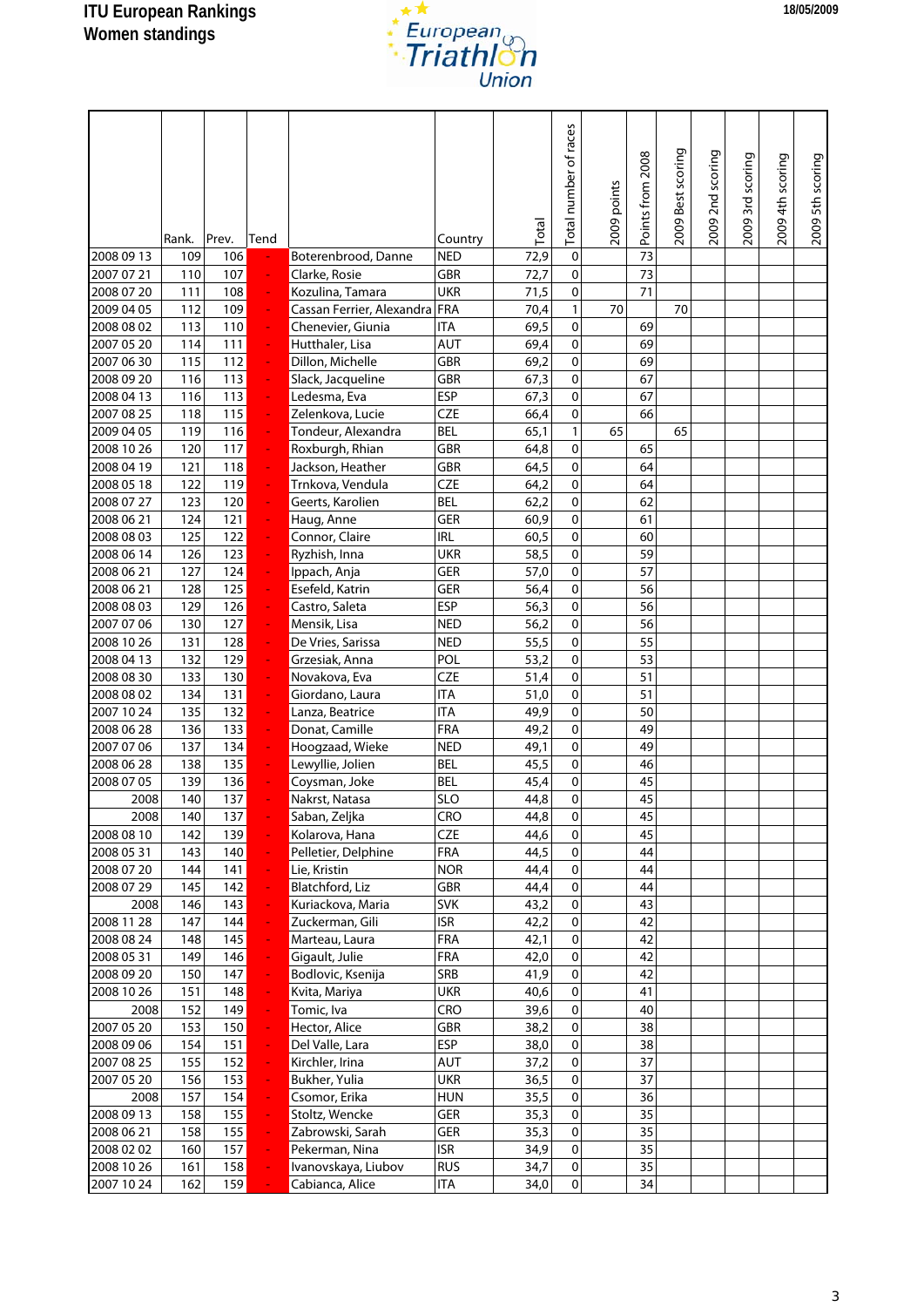

|                          | Rank.      | Prev.      | Tend                 |                                   | Country           | Total        | Total number of races | 2009 points | Points from 2008 | 2009 Best scoring | 2009 2nd scoring | 2009 3rd scoring | 2009 4th scoring | 2009 5th scoring |
|--------------------------|------------|------------|----------------------|-----------------------------------|-------------------|--------------|-----------------------|-------------|------------------|-------------------|------------------|------------------|------------------|------------------|
| 2008 09 13<br>2007 07 21 | 109<br>110 | 106<br>107 |                      | Boterenbrood, Danne               | <b>NED</b><br>GBR | 72,9         | 0<br>0                |             | 73<br>73         |                   |                  |                  |                  |                  |
| 2008 07 20               | 111        | 108        | ÷<br>÷               | Clarke, Rosie<br>Kozulina, Tamara | <b>UKR</b>        | 72,7<br>71,5 | 0                     |             | 71               |                   |                  |                  |                  |                  |
| 2009 04 05               | 112        | 109        | ÷                    | Cassan Ferrier, Alexandra         | FRA               | 70,4         | $\mathbf{1}$          | 70          |                  | 70                |                  |                  |                  |                  |
| 2008 08 02               | 113        | 110        | ÷                    | Chenevier, Giunia                 | <b>ITA</b>        | 69,5         | 0                     |             | 69               |                   |                  |                  |                  |                  |
| 2007 05 20               | 114        | 111        | ÷                    | Hutthaler, Lisa                   | AUT               | 69,4         | $\pmb{0}$             |             | 69               |                   |                  |                  |                  |                  |
| 2007 06 30               | 115        | 112        | $\omega$             | Dillon, Michelle                  | GBR               | 69,2         | 0                     |             | 69               |                   |                  |                  |                  |                  |
| 2008 09 20               | 116        | 113        | $\frac{1}{\sqrt{2}}$ | Slack, Jacqueline                 | GBR               | 67,3         | 0                     |             | 67               |                   |                  |                  |                  |                  |
| 2008 04 13               | 116        | 113        | ÷,                   | Ledesma, Eva                      | <b>ESP</b>        | 67,3         | 0                     |             | 67               |                   |                  |                  |                  |                  |
| 2007 08 25               | 118        | 115        | ÷,                   | Zelenkova, Lucie                  | <b>CZE</b>        | 66,4         | 0                     |             | 66               |                   |                  |                  |                  |                  |
| 2009 04 05               | 119        | 116        | ÷,                   | Tondeur, Alexandra                | <b>BEL</b>        | 65,1         | $\mathbf{1}$          | 65          |                  | 65                |                  |                  |                  |                  |
| 2008 10 26               | 120        | 117        | $\frac{1}{\sqrt{2}}$ | Roxburgh, Rhian                   | <b>GBR</b>        | 64,8         | 0                     |             | 65               |                   |                  |                  |                  |                  |
| 2008 04 19               | 121        | 118        | ÷                    | Jackson, Heather                  | GBR               | 64,5         | 0                     |             | 64               |                   |                  |                  |                  |                  |
| 2008 05 18               | 122        | 119        | ÷                    | Trnkova, Vendula                  | <b>CZE</b>        | 64,2         | $\pmb{0}$             |             | 64               |                   |                  |                  |                  |                  |
| 2008 07 27               | 123        | 120        | ÷                    | Geerts, Karolien                  | <b>BEL</b>        | 62,2         | 0                     |             | 62               |                   |                  |                  |                  |                  |
| 2008 06 21               | 124        | 121        | $\frac{1}{\sqrt{2}}$ | Haug, Anne                        | GER               | 60,9         | 0                     |             | 61               |                   |                  |                  |                  |                  |
| 2008 08 03               | 125        | 122        | $\frac{1}{\sqrt{2}}$ | Connor, Claire                    | <b>IRL</b>        | 60,5         | $\mathbf 0$           |             | 60               |                   |                  |                  |                  |                  |
| 2008 06 14               | 126        | 123        | ÷,                   | Ryzhish, Inna                     | <b>UKR</b>        | 58,5         | 0                     |             | 59               |                   |                  |                  |                  |                  |
| 2008 06 21               | 127        | 124        | ÷,                   | Ippach, Anja                      | <b>GER</b>        | 57,0         | 0                     |             | 57               |                   |                  |                  |                  |                  |
| 2008 06 21               | 128        | 125        | ÷,                   | Esefeld, Katrin                   | GER               | 56,4         | 0                     |             | 56               |                   |                  |                  |                  |                  |
| 2008 08 03               | 129        | 126        | ÷                    | Castro, Saleta                    | <b>ESP</b>        | 56,3         | 0                     |             | 56               |                   |                  |                  |                  |                  |
| 2007 07 06               | 130        | 127        | ÷,                   | Mensik, Lisa                      | <b>NED</b>        | 56,2         | $\pmb{0}$             |             | 56               |                   |                  |                  |                  |                  |
| 2008 10 26               | 131        | 128        | ÷                    | De Vries, Sarissa                 | <b>NED</b>        | 55,5         | $\mathbf 0$           |             | 55               |                   |                  |                  |                  |                  |
| 2008 04 13               | 132        | 129        | $\omega_{\rm c}$     | Grzesiak, Anna                    | POL               | 53,2         | 0                     |             | 53               |                   |                  |                  |                  |                  |
| 2008 08 30               | 133        | 130        | $\omega$             | Novakova, Eva                     | <b>CZE</b>        | 51,4         | $\mathbf 0$           |             | 51               |                   |                  |                  |                  |                  |
| 2008 08 02               | 134        | 131        | $\omega$             | Giordano, Laura                   | <b>ITA</b>        | 51,0         | 0                     |             | 51               |                   |                  |                  |                  |                  |
| 2007 10 24               | 135        | 132        | $\omega$             | Lanza, Beatrice                   | <b>ITA</b>        | 49,9         | 0                     |             | 50               |                   |                  |                  |                  |                  |
| 2008 06 28               | 136        | 133        | $\omega$             | Donat, Camille                    | <b>FRA</b>        | 49,2         | 0                     |             | 49               |                   |                  |                  |                  |                  |
| 2007 07 06               | 137        | 134        | $\equiv$             | Hoogzaad, Wieke                   | <b>NED</b>        | 49,1         | 0                     |             | 49               |                   |                  |                  |                  |                  |
| 2008 06 28               | 138        | 135        | ÷,                   | Lewyllie, Jolien                  | <b>BEL</b>        | 45,5         | 0                     |             | 46               |                   |                  |                  |                  |                  |
| 2008 07 05               | 139        | 136        |                      | Coysman, Joke                     | <b>BEL</b>        | 45,4         | 0                     |             | 45               |                   |                  |                  |                  |                  |
| 2008                     | 140        | 137        |                      | Nakrst, Natasa                    | <b>SLO</b>        | 44,8         | 0                     |             | 45               |                   |                  |                  |                  |                  |
| 2008                     | 140        | 137        |                      | Saban, Zeljka                     | <b>CRO</b>        | 44,8         | $\pmb{0}$             |             | 45               |                   |                  |                  |                  |                  |
| 2008 08 10               | 142        | 139        | ÷                    | Kolarova, Hana                    | <b>CZE</b>        | 44,6         | $\Omega$              |             | 45               |                   |                  |                  |                  |                  |
| 2008 05 31               | 143        | 140        | ÷,                   | Pelletier, Delphine               | <b>FRA</b>        | 44,5         | $\mathbf 0$           |             | 44               |                   |                  |                  |                  |                  |
| 2008 07 20               | 144        | 141        | ÷,                   | Lie, Kristin                      | <b>NOR</b>        | 44,4         | $\mathbf 0$           |             | 44               |                   |                  |                  |                  |                  |
| 2008 07 29               | 145        | 142        | $\frac{1}{\sqrt{2}}$ | Blatchford, Liz                   | GBR               | 44,4         | $\pmb{0}$             |             | 44               |                   |                  |                  |                  |                  |
| 2008                     | 146        | 143        | ÷                    | Kuriackova, Maria                 | <b>SVK</b>        | 43,2         | $\pmb{0}$             |             | 43               |                   |                  |                  |                  |                  |
| 2008 11 28               | 147        | 144        | ÷,                   | Zuckerman, Gili                   | <b>ISR</b>        | 42,2         | $\pmb{0}$             |             | 42               |                   |                  |                  |                  |                  |
| 2008 08 24               | 148        | 145        | ÷,                   | Marteau, Laura                    | <b>FRA</b>        | 42,1         | $\pmb{0}$             |             | 42               |                   |                  |                  |                  |                  |
| 2008 05 31               | 149        | 146        | $\omega$             | Gigault, Julie                    | FRA               | 42,0         | 0                     |             | 42               |                   |                  |                  |                  |                  |
| 2008 09 20               | 150        | 147        | $\blacksquare$       | Bodlovic, Ksenija                 | SRB               | 41,9         | 0                     |             | 42               |                   |                  |                  |                  |                  |
| 2008 10 26               | 151        | 148        | $\omega$             | Kvita, Mariya                     | <b>UKR</b>        | 40,6         | 0                     |             | 41               |                   |                  |                  |                  |                  |
| 2008                     | 152        | 149        | $\frac{1}{\sqrt{2}}$ | Tomic, Iva                        | <b>CRO</b>        | 39,6         | $\pmb{0}$             |             | 40               |                   |                  |                  |                  |                  |
| 2007 05 20               | 153        | 150        | $\frac{1}{\sqrt{2}}$ | Hector, Alice                     | GBR               | 38,2         | $\pmb{0}$             |             | 38               |                   |                  |                  |                  |                  |
| 2008 09 06               | 154        | 151        | ÷                    | Del Valle, Lara                   | ESP               | 38,0         | $\pmb{0}$             |             | 38               |                   |                  |                  |                  |                  |
| 2007 08 25               | 155        | 152        | $\omega$             | Kirchler, Irina                   | AUT               | 37,2         | $\pmb{0}$             |             | 37               |                   |                  |                  |                  |                  |
| 2007 05 20               | 156        | 153        | $\omega$             | Bukher, Yulia                     | <b>UKR</b>        | 36,5         | $\pmb{0}$             |             | 37               |                   |                  |                  |                  |                  |
| 2008                     | 157        | 154        | $\omega$             | Csomor, Erika                     | <b>HUN</b>        | 35,5         | 0                     |             | 36               |                   |                  |                  |                  |                  |
| 2008 09 13               | 158        | 155        | $\omega$             | Stoltz, Wencke                    | GER               | 35,3         | 0                     |             | 35               |                   |                  |                  |                  |                  |
| 2008 06 21               | 158        | 155        | ÷,                   | Zabrowski, Sarah                  | GER               | 35,3         | 0                     |             | 35               |                   |                  |                  |                  |                  |
| 2008 02 02               | 160        | 157        | ÷,                   | Pekerman, Nina                    | <b>ISR</b>        | 34,9         | $\mathbf 0$           |             | 35               |                   |                  |                  |                  |                  |
| 2008 10 26               | 161        | 158        |                      | Ivanovskaya, Liubov               | <b>RUS</b>        | 34,7         | $\pmb{0}$             |             | 35               |                   |                  |                  |                  |                  |
| 2007 10 24               | 162        | 159        |                      | Cabianca, Alice                   | <b>ITA</b>        | 34,0         | $\pmb{0}$             |             | 34               |                   |                  |                  |                  |                  |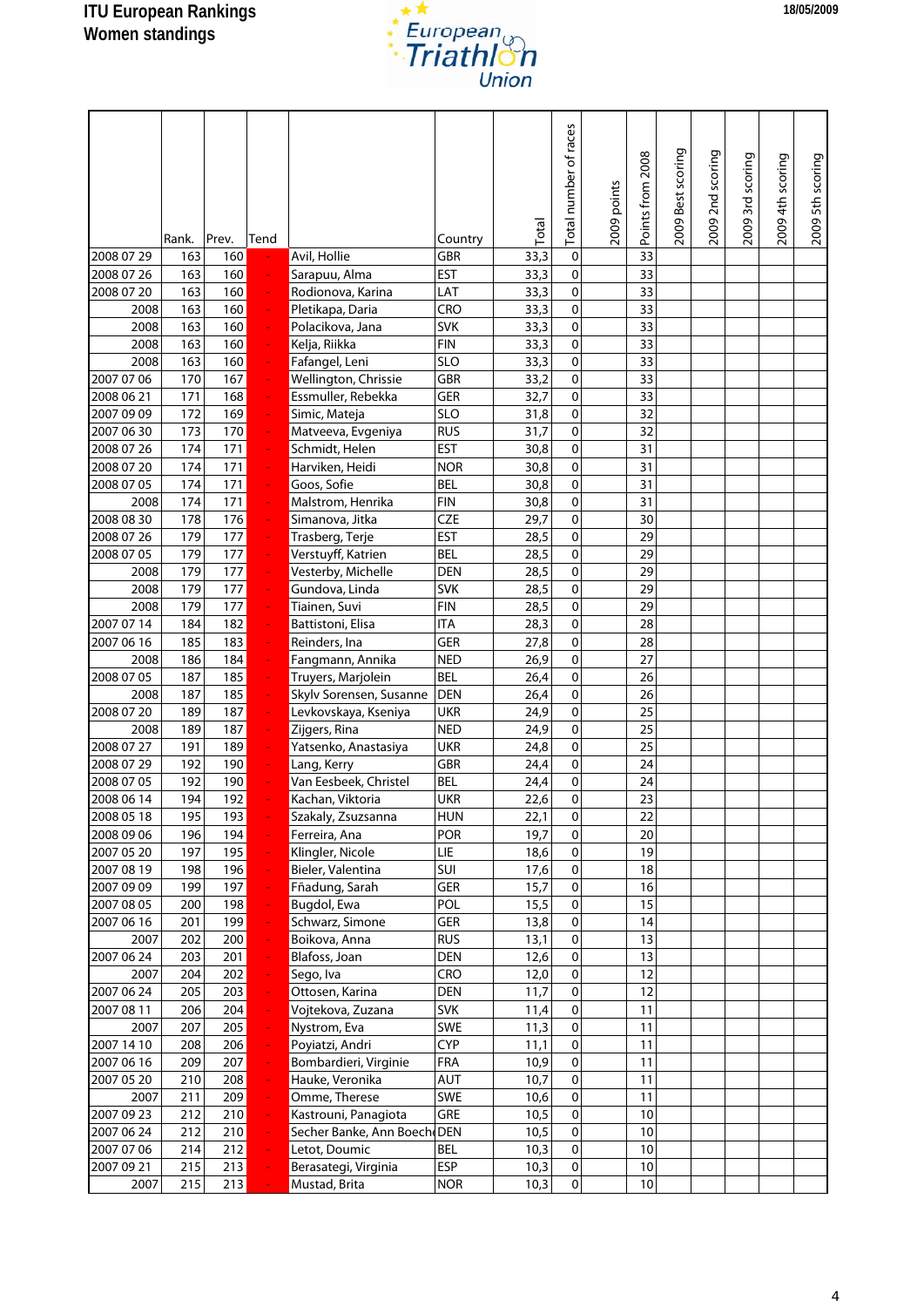

|            |       |       |                          |                             |                          | Total | Total number of races | 2009 points | Points from 2008 | 2009 Best scoring | 2009 2nd scoring | 2009 3rd scoring | 2009 4th scoring | 2009 5th scoring |
|------------|-------|-------|--------------------------|-----------------------------|--------------------------|-------|-----------------------|-------------|------------------|-------------------|------------------|------------------|------------------|------------------|
|            | Rank. | Prev. | Tend                     |                             | Country                  |       |                       |             |                  |                   |                  |                  |                  |                  |
| 2008 07 29 | 163   | 160   |                          | Avil, Hollie                | <b>GBR</b>               | 33,3  | $\mathbf 0$           |             | 33               |                   |                  |                  |                  |                  |
| 2008 07 26 | 163   | 160   | ÷                        | Sarapuu, Alma               | <b>EST</b>               | 33,3  | $\mathbf 0$           |             | 33               |                   |                  |                  |                  |                  |
| 2008 07 20 | 163   | 160   | ÷,                       | Rodionova, Karina           | LAT                      | 33,3  | $\mathbf 0$           |             | 33               |                   |                  |                  |                  |                  |
| 2008       | 163   | 160   | ÷,                       | Pletikapa, Daria            | CRO                      | 33,3  | $\mathbf 0$           |             | 33               |                   |                  |                  |                  |                  |
| 2008       | 163   | 160   | ÷,                       | Polacikova, Jana            | <b>SVK</b>               | 33,3  | $\mathbf 0$           |             | 33               |                   |                  |                  |                  |                  |
| 2008       | 163   | 160   | ÷                        | Kelja, Riikka               | <b>FIN</b>               | 33,3  | $\mathbf 0$           |             | 33               |                   |                  |                  |                  |                  |
| 2008       | 163   | 160   | ÷                        | Fafangel, Leni              | <b>SLO</b>               | 33,3  | $\mathbf 0$           |             | 33               |                   |                  |                  |                  |                  |
| 2007 07 06 | 170   | 167   | ÷                        | Wellington, Chrissie        | GBR                      | 33,2  | $\mathbf 0$           |             | 33               |                   |                  |                  |                  |                  |
| 2008 06 21 | 171   | 168   | ÷,                       | Essmuller, Rebekka          | GER                      | 32,7  | $\mathbf 0$           |             | 33               |                   |                  |                  |                  |                  |
| 2007 09 09 | 172   | 169   | $\omega$                 | Simic, Mateja               | <b>SLO</b>               | 31,8  | $\mathbf 0$           |             | 32               |                   |                  |                  |                  |                  |
| 2007 06 30 | 173   | 170   | ÷,                       | Matveeva, Evgeniya          | <b>RUS</b>               | 31,7  | $\mathbf 0$           |             | 32               |                   |                  |                  |                  |                  |
| 2008 07 26 | 174   | 171   | ÷,                       | Schmidt, Helen              | <b>EST</b>               | 30,8  | $\mathbf{0}$          |             | 31               |                   |                  |                  |                  |                  |
| 2008 07 20 | 174   | 171   | ÷                        | Harviken, Heidi             | <b>NOR</b>               | 30,8  | 0                     |             | 31               |                   |                  |                  |                  |                  |
| 2008 07 05 | 174   | 171   | $\blacksquare$           | Goos, Sofie                 | <b>BEL</b>               | 30,8  | 0                     |             | 31               |                   |                  |                  |                  |                  |
| 2008       | 174   | 171   | ÷,                       | Malstrom, Henrika           | <b>FIN</b>               | 30,8  | $\mathbf 0$           |             | 31               |                   |                  |                  |                  |                  |
| 2008 08 30 | 178   | 176   | ÷                        | Simanova, Jitka             | <b>CZE</b>               | 29,7  | $\mathbf 0$           |             | 30               |                   |                  |                  |                  |                  |
| 2008 07 26 | 179   | 177   | ÷,                       | Trasberg, Terje             | <b>EST</b>               | 28,5  | $\mathbf 0$           |             | 29               |                   |                  |                  |                  |                  |
| 2008 07 05 | 179   | 177   | ÷,                       | Verstuyff, Katrien          | <b>BEL</b>               | 28,5  | $\mathbf 0$           |             | 29               |                   |                  |                  |                  |                  |
| 2008       | 179   | 177   | ÷,                       | Vesterby, Michelle          | <b>DEN</b>               | 28,5  | $\mathbf 0$           |             | 29               |                   |                  |                  |                  |                  |
| 2008       | 179   | 177   | $\omega$                 | Gundova, Linda              | <b>SVK</b>               | 28,5  | $\mathbf 0$           |             | 29               |                   |                  |                  |                  |                  |
| 2008       | 179   | 177   | ÷,                       | Tiainen, Suvi               | <b>FIN</b>               | 28,5  | $\mathbf 0$           |             | 29               |                   |                  |                  |                  |                  |
| 2007 07 14 | 184   | 182   | ÷                        | Battistoni, Elisa           | <b>ITA</b>               | 28,3  | $\mathbf 0$           |             | 28               |                   |                  |                  |                  |                  |
| 2007 06 16 | 185   | 183   | ÷                        | Reinders, Ina               | GER                      | 27,8  | $\mathbf 0$           |             | 28               |                   |                  |                  |                  |                  |
| 2008       | 186   | 184   | ÷                        | Fangmann, Annika            | <b>NED</b>               | 26,9  | $\mathbf 0$           |             | 27               |                   |                  |                  |                  |                  |
| 2008 07 05 | 187   | 185   | ÷,                       | Truyers, Marjolein          | <b>BEL</b>               | 26,4  | $\mathbf 0$           |             | 26               |                   |                  |                  |                  |                  |
| 2008       | 187   | 185   | ÷,                       | Skylv Sorensen, Susanne     | <b>DEN</b>               | 26,4  | $\mathbf 0$           |             | 26               |                   |                  |                  |                  |                  |
| 2008 07 20 | 189   | 187   | ÷,                       | Levkovskaya, Kseniya        | <b>UKR</b>               | 24,9  | $\mathbf 0$           |             | 25               |                   |                  |                  |                  |                  |
| 2008       | 189   | 187   | ÷,                       | Zijgers, Rina               | <b>NED</b>               | 24,9  | $\mathbf 0$           |             | 25               |                   |                  |                  |                  |                  |
| 2008 07 27 | 191   | 189   | ÷,                       | Yatsenko, Anastasiya        | <b>UKR</b>               | 24,8  | $\mathbf 0$           |             | 25               |                   |                  |                  |                  |                  |
| 2008 07 29 | 192   | 190   | ÷,                       | Lang, Kerry                 | GBR                      | 24,4  | 0                     |             | 24               |                   |                  |                  |                  |                  |
| 2008 07 05 | 192   | 190   |                          | Van Eesbeek, Christel       | <b>BEL</b>               | 24,4  | $\mathbf 0$           |             | 24               |                   |                  |                  |                  |                  |
| 2008 06 14 | 194   | 192   |                          | Kachan, Viktoria            | <b>UKR</b>               | 22,6  | $\mathbf 0$           |             | 23               |                   |                  |                  |                  |                  |
| 2008 05 18 | 195   | 193   |                          | Szakaly, Zsuzsanna          | <b>HUN</b>               | 22,1  | $\mathbf 0$           |             | 22               |                   |                  |                  |                  |                  |
| 2008 09 06 | 196   | 194   | ÷.                       | Ferreira, Ana               | POR                      | 19,7  | $\mathbf 0$           |             | 20               |                   |                  |                  |                  |                  |
| 2007 05 20 | 197   | 195   | $\overline{\phantom{a}}$ | Klingler, Nicole            | LIE                      | 18,6  | $\mathbf 0$           |             | 19               |                   |                  |                  |                  |                  |
| 2007 08 19 | 198   | 196   | $\omega$                 | Bieler, Valentina           | SUI                      | 17,6  | 0                     |             | 18               |                   |                  |                  |                  |                  |
| 2007 09 09 | 199   | 197   | $\omega$                 | Fñadung, Sarah              | GER                      | 15,7  | $\mathbf 0$           |             | 16               |                   |                  |                  |                  |                  |
| 2007 08 05 | 200   | 198   | $\omega$                 | Bugdol, Ewa                 | POL                      | 15,5  | 0                     |             | 15               |                   |                  |                  |                  |                  |
| 2007 06 16 | 201   | 199   | ÷                        | Schwarz, Simone             | GER                      | 13,8  | $\mathbf 0$           |             | 14               |                   |                  |                  |                  |                  |
| 2007       | 202   | 200   | $\omega$                 | Boikova, Anna               | <b>RUS</b>               | 13,1  | $\mathbf 0$           |             | 13               |                   |                  |                  |                  |                  |
| 2007 06 24 | 203   | 201   | ÷                        | Blafoss, Joan               | <b>DEN</b>               | 12,6  | $\pmb{0}$             |             | 13               |                   |                  |                  |                  |                  |
| 2007       | 204   | 202   | ÷,                       | Sego, Iva                   | CRO                      | 12,0  | $\pmb{0}$             |             | 12               |                   |                  |                  |                  |                  |
| 2007 06 24 | 205   | 203   | $\omega$                 | Ottosen, Karina             | DEN                      | 11,7  | $\mathbf 0$           |             | 12               |                   |                  |                  |                  |                  |
| 2007 08 11 | 206   | 204   | $\omega$                 | Vojtekova, Zuzana           | <b>SVK</b>               | 11,4  | $\mathbf 0$           |             | 11               |                   |                  |                  |                  |                  |
| 2007       | 207   | 205   | ÷,                       | Nystrom, Eva                | SWE                      | 11,3  | $\mathbf 0$           |             | 11               |                   |                  |                  |                  |                  |
| 2007 14 10 | 208   | 206   | ÷,                       | Poyiatzi, Andri             | <b>CYP</b>               | 11,1  | $\mathbf 0$           |             | 11               |                   |                  |                  |                  |                  |
| 2007 06 16 | 209   | 207   | ÷,                       | Bombardieri, Virginie       | FRA                      | 10,9  | $\mathbf 0$           |             | 11               |                   |                  |                  |                  |                  |
| 2007 05 20 | 210   | 208   | ÷,                       | Hauke, Veronika             | AUT                      | 10,7  | $\pmb{0}$             |             | 11               |                   |                  |                  |                  |                  |
| 2007       | 211   | 209   | ÷,                       | Omme, Therese               | SWE                      | 10,6  | $\pmb{0}$             |             | 11               |                   |                  |                  |                  |                  |
| 2007 09 23 | 212   | 210   | ÷,                       | Kastrouni, Panagiota        | GRE                      | 10,5  | $\pmb{0}$             |             | 10               |                   |                  |                  |                  |                  |
| 2007 06 24 | 212   | 210   | ÷,                       | Secher Banke, Ann Boech DEN |                          | 10,5  | $\mathbf 0$           |             | 10               |                   |                  |                  |                  |                  |
| 2007 07 06 | 214   | 212   | $\omega$                 | Letot, Doumic               | <b>BEL</b><br><b>ESP</b> | 10,3  | $\mathbf 0$           |             | 10               |                   |                  |                  |                  |                  |
| 2007 09 21 | 215   | 213   | ÷,                       | Berasategi, Virginia        |                          | 10,3  | $\mathbf 0$           |             | $10$             |                   |                  |                  |                  |                  |
| 2007       | 215   | 213   | ÷,                       | Mustad, Brita               | <b>NOR</b>               | 10,3  | $\mathbf 0$           |             | $10\,$           |                   |                  |                  |                  |                  |